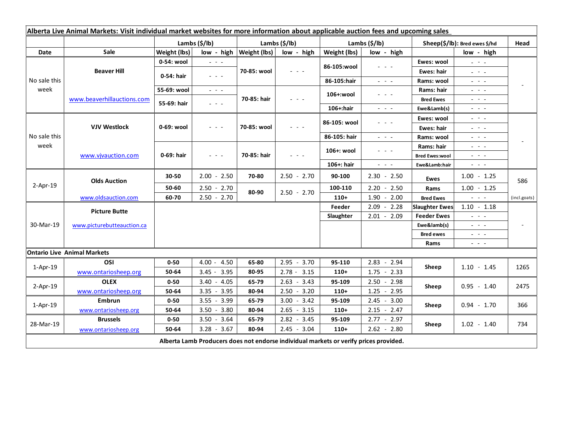| Alberta Live Animal Markets: Visit individual market websites for more information about applicable auction fees and upcoming sales |                            |               |                                                                                                                           |                           |                 |               |                                                                                                                                                      |                               |                                                                                                                                                                                                                                                                                                                                                                                                                                                |              |
|-------------------------------------------------------------------------------------------------------------------------------------|----------------------------|---------------|---------------------------------------------------------------------------------------------------------------------------|---------------------------|-----------------|---------------|------------------------------------------------------------------------------------------------------------------------------------------------------|-------------------------------|------------------------------------------------------------------------------------------------------------------------------------------------------------------------------------------------------------------------------------------------------------------------------------------------------------------------------------------------------------------------------------------------------------------------------------------------|--------------|
|                                                                                                                                     |                            | Lambs (\$/lb) |                                                                                                                           | Lambs (\$/lb)             |                 | Lambs (\$/lb) |                                                                                                                                                      | Sheep(\$/lb): Bred ewes \$/hd |                                                                                                                                                                                                                                                                                                                                                                                                                                                | Head         |
| Date                                                                                                                                | Sale                       | Weight (lbs)  |                                                                                                                           | low - high   Weight (lbs) | low - high      | Weight (lbs)  | low - high                                                                                                                                           |                               | low - high                                                                                                                                                                                                                                                                                                                                                                                                                                     |              |
| No sale this<br>week                                                                                                                | <b>Beaver Hill</b>         | 0-54: wool    | $\omega_{\rm{c}}$ and $\omega_{\rm{c}}$                                                                                   | 70-85: wool               | $ -$            | 86-105:wool   | $\frac{1}{2} \left( \frac{1}{2} \right) \left( \frac{1}{2} \right) \left( \frac{1}{2} \right) \left( \frac{1}{2} \right)$                            | Ewes: wool                    | $\omega_{\rm{eff}}=0.1$                                                                                                                                                                                                                                                                                                                                                                                                                        |              |
|                                                                                                                                     |                            | 0-54: hair    | $\frac{1}{2} \left( \frac{1}{2} \right) \left( \frac{1}{2} \right) \left( \frac{1}{2} \right) \left( \frac{1}{2} \right)$ |                           |                 |               |                                                                                                                                                      | Ewes: hair                    | 20 milion                                                                                                                                                                                                                                                                                                                                                                                                                                      |              |
|                                                                                                                                     |                            |               |                                                                                                                           |                           |                 | 86-105:hair   | $\frac{1}{2} \left( \frac{1}{2} \right) = \frac{1}{2} \left( \frac{1}{2} \right) = \frac{1}{2}$                                                      | Rams: wool                    | $  -$                                                                                                                                                                                                                                                                                                                                                                                                                                          |              |
|                                                                                                                                     | www.beaverhillauctions.com | 55-69: wool   | $\frac{1}{2} \left( \frac{1}{2} \right) \left( \frac{1}{2} \right) \left( \frac{1}{2} \right) \left( \frac{1}{2} \right)$ | 70-85: hair               | - - -           | 106+:wool     | - - -                                                                                                                                                | Rams: hair                    | $\frac{1}{2} \left( \frac{1}{2} \right) = \frac{1}{2} \left( \frac{1}{2} \right)$                                                                                                                                                                                                                                                                                                                                                              |              |
|                                                                                                                                     |                            | 55-69: hair   | $\omega_{\rm{c}}$ , $\omega_{\rm{c}}$ , $\omega_{\rm{c}}$                                                                 |                           |                 |               |                                                                                                                                                      | <b>Bred Ewes</b>              | $\frac{1}{2} \left( \frac{1}{2} \right) = \frac{1}{2} \left( \frac{1}{2} \right)$                                                                                                                                                                                                                                                                                                                                                              |              |
|                                                                                                                                     |                            |               |                                                                                                                           |                           |                 | 106+:hair     | $\frac{1}{2} \left( \frac{1}{2} \right) \left( \frac{1}{2} \right) \left( \frac{1}{2} \right) \left( \frac{1}{2} \right) \left( \frac{1}{2} \right)$ | Ewe&Lamb(s)                   | $\frac{1}{2} \left( \frac{1}{2} \right) \left( \frac{1}{2} \right) \left( \frac{1}{2} \right) \left( \frac{1}{2} \right)$                                                                                                                                                                                                                                                                                                                      |              |
| No sale this<br>week                                                                                                                | <b>VJV Westlock</b>        | 0-69: wool    | $\frac{1}{2} \left( \frac{1}{2} \right) \left( \frac{1}{2} \right) \left( \frac{1}{2} \right) \left( \frac{1}{2} \right)$ | 70-85: wool               | - - -           | 86-105: wool  | $\frac{1}{2} \left( \frac{1}{2} \right) \left( \frac{1}{2} \right) \left( \frac{1}{2} \right) \left( \frac{1}{2} \right)$                            | Ewes: wool                    | $\frac{1}{2} \left( \frac{1}{2} \right) \frac{1}{2} \left( \frac{1}{2} \right) \frac{1}{2} \left( \frac{1}{2} \right)$                                                                                                                                                                                                                                                                                                                         |              |
|                                                                                                                                     |                            |               |                                                                                                                           |                           |                 |               |                                                                                                                                                      | <b>Ewes: hair</b>             | $\frac{1}{2} \left( \frac{1}{2} \right) = \frac{1}{2} \left( \frac{1}{2} \right)$                                                                                                                                                                                                                                                                                                                                                              |              |
|                                                                                                                                     |                            |               |                                                                                                                           |                           |                 | 86-105: hair  | 20 A G                                                                                                                                               | Rams: wool                    | $  -$                                                                                                                                                                                                                                                                                                                                                                                                                                          |              |
|                                                                                                                                     | www.vivauction.com         | 0-69: hair    | $  -$                                                                                                                     | 70-85: hair               | $  -$           | 106+: wool    | - - -                                                                                                                                                | Rams: hair                    | 20 A G                                                                                                                                                                                                                                                                                                                                                                                                                                         |              |
|                                                                                                                                     |                            |               |                                                                                                                           |                           |                 |               |                                                                                                                                                      | <b>Bred Ewes:wool</b>         | - - -                                                                                                                                                                                                                                                                                                                                                                                                                                          |              |
|                                                                                                                                     |                            |               |                                                                                                                           |                           |                 | 106+: hair    | $\omega_{\rm{c}}$ , $\omega_{\rm{c}}$ , $\omega_{\rm{c}}$                                                                                            | Ewe&Lamb:hair                 | $\omega_{\rm{c}}$ , $\omega_{\rm{c}}$ , $\omega_{\rm{c}}$                                                                                                                                                                                                                                                                                                                                                                                      |              |
| $2-Apr-19$                                                                                                                          | <b>Olds Auction</b>        | 30-50         | $2.00 - 2.50$                                                                                                             | 70-80                     | $2.50 - 2.70$   | 90-100        | $2.30 - 2.50$                                                                                                                                        | Ewes                          | $1.00 - 1.25$                                                                                                                                                                                                                                                                                                                                                                                                                                  | 586          |
|                                                                                                                                     |                            | 50-60         | $2.50 - 2.70$                                                                                                             | 80-90                     | $2.50 - 2.70$   | 100-110       | $2.20 - 2.50$                                                                                                                                        | Rams                          | $1.00 - 1.25$                                                                                                                                                                                                                                                                                                                                                                                                                                  |              |
|                                                                                                                                     | www.oldsauction.com        | 60-70         | $2.50 - 2.70$                                                                                                             |                           |                 | $110+$        | $1.90 - 2.00$                                                                                                                                        | <b>Bred Ewes</b>              | $\frac{1}{2} \left( \frac{1}{2} \right) \left( \frac{1}{2} \right) \left( \frac{1}{2} \right) \left( \frac{1}{2} \right)$                                                                                                                                                                                                                                                                                                                      | (incl.goats) |
| 30-Mar-19                                                                                                                           | <b>Picture Butte</b>       |               |                                                                                                                           |                           |                 | Feeder        | $2.09 - 2.28$                                                                                                                                        | <b>Slaughter Ewes</b>         | $1.10 - 1.18$                                                                                                                                                                                                                                                                                                                                                                                                                                  |              |
|                                                                                                                                     | www.picturebutteauction.ca |               |                                                                                                                           |                           |                 | Slaughter     | $2.01 - 2.09$                                                                                                                                        | <b>Feeder Ewes</b>            | $\omega_{\rm{eff}}$ and $\omega_{\rm{eff}}$                                                                                                                                                                                                                                                                                                                                                                                                    |              |
|                                                                                                                                     |                            |               |                                                                                                                           |                           |                 |               |                                                                                                                                                      | Ewe&lamb(s)                   | $\omega_{\rm{eff}}$ and $\omega_{\rm{eff}}$                                                                                                                                                                                                                                                                                                                                                                                                    |              |
|                                                                                                                                     |                            |               |                                                                                                                           |                           |                 |               |                                                                                                                                                      | <b>Bred ewes</b>              | $\frac{1}{2} \left( \frac{1}{2} \right) \frac{1}{2} \left( \frac{1}{2} \right) \frac{1}{2} \left( \frac{1}{2} \right) \frac{1}{2} \left( \frac{1}{2} \right) \frac{1}{2} \left( \frac{1}{2} \right) \frac{1}{2} \left( \frac{1}{2} \right) \frac{1}{2} \left( \frac{1}{2} \right) \frac{1}{2} \left( \frac{1}{2} \right) \frac{1}{2} \left( \frac{1}{2} \right) \frac{1}{2} \left( \frac{1}{2} \right) \frac{1}{2} \left( \frac{1}{2} \right)$ |              |
|                                                                                                                                     |                            |               |                                                                                                                           |                           |                 |               |                                                                                                                                                      | Rams                          | $\frac{1}{2} \left( \frac{1}{2} \right) = \frac{1}{2} \left( \frac{1}{2} \right)$                                                                                                                                                                                                                                                                                                                                                              |              |
| <b>Ontario Live Animal Markets</b>                                                                                                  |                            |               |                                                                                                                           |                           |                 |               |                                                                                                                                                      |                               |                                                                                                                                                                                                                                                                                                                                                                                                                                                |              |
| $1-Apr-19$                                                                                                                          | OSI                        | $0 - 50$      | $4.00 - 4.50$                                                                                                             | 65-80                     | $2.95 - 3.70$   | 95-110        | $2.83 - 2.94$                                                                                                                                        | Sheep                         | $1.10 - 1.45$                                                                                                                                                                                                                                                                                                                                                                                                                                  | 1265         |
|                                                                                                                                     | www.ontariosheep.org       | 50-64         | $3.45 - 3.95$                                                                                                             | 80-95                     | $2.78 - 3.15$   | $110+$        | $1.75 - 2.33$                                                                                                                                        |                               |                                                                                                                                                                                                                                                                                                                                                                                                                                                |              |
| $2-Apr-19$                                                                                                                          | <b>OLEX</b>                | $0 - 50$      | $3.40 - 4.05$                                                                                                             | 65-79                     | $2.63 - 3.43$   | 95-109        | $2.50 - 2.98$                                                                                                                                        | Sheep                         | $0.95 - 1.40$                                                                                                                                                                                                                                                                                                                                                                                                                                  | 2475         |
|                                                                                                                                     | www.ontariosheep.org       | 50-64         | 3.95<br>$3.35 -$                                                                                                          | 80-94                     | $-3.20$<br>2.50 | $110+$        | $1.25 - 2.95$                                                                                                                                        |                               |                                                                                                                                                                                                                                                                                                                                                                                                                                                |              |
| $1-Apr-19$                                                                                                                          | <b>Embrun</b>              | $0 - 50$      | $3.55 - 3.99$                                                                                                             | 65-79                     | $3.00 - 3.42$   | 95-109        | $2.45 - 3.00$                                                                                                                                        | Sheep                         | $0.94 - 1.70$                                                                                                                                                                                                                                                                                                                                                                                                                                  | 366          |
|                                                                                                                                     | www.ontariosheep.org       | 50-64         | $3.50 - 3.80$                                                                                                             | 80-94                     | $2.65 - 3.15$   | $110+$        | $2.15 - 2.47$                                                                                                                                        |                               |                                                                                                                                                                                                                                                                                                                                                                                                                                                |              |
| 28-Mar-19                                                                                                                           | <b>Brussels</b>            | $0 - 50$      | $3.50 - 3.64$                                                                                                             | 65-79                     | $2.82 - 3.45$   | 95-109        | $2.77 - 2.97$                                                                                                                                        | Sheep                         | $1.02 - 1.40$                                                                                                                                                                                                                                                                                                                                                                                                                                  | 734          |
|                                                                                                                                     | www.ontariosheep.org       | 50-64         | $3.28 - 3.67$                                                                                                             | 80-94                     | $2.45 - 3.04$   | $110+$        | $2.62 - 2.80$                                                                                                                                        |                               |                                                                                                                                                                                                                                                                                                                                                                                                                                                |              |
| Alberta Lamb Producers does not endorse individual markets or verify prices provided.                                               |                            |               |                                                                                                                           |                           |                 |               |                                                                                                                                                      |                               |                                                                                                                                                                                                                                                                                                                                                                                                                                                |              |